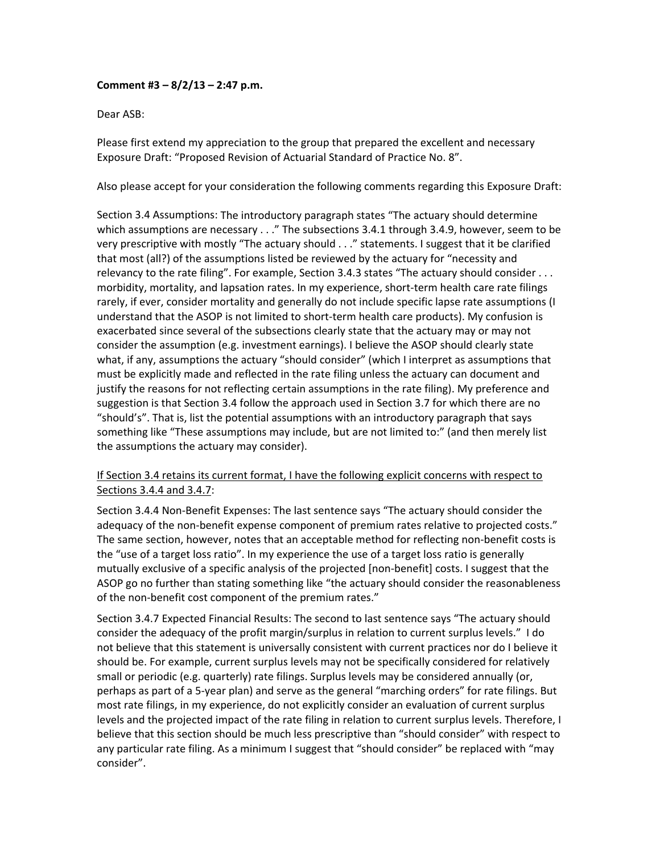## **Comment #3 – 8/2/13 – 2:47 p.m.**

Dear ASB:

Please first extend my appreciation to the group that prepared the excellent and necessary Exposure Draft: "Proposed Revision of Actuarial Standard of Practice No. 8".

Also please accept for your consideration the following comments regarding this Exposure Draft:

Section 3.4 Assumptions: The introductory paragraph states "The actuary should determine which assumptions are necessary . . ." The subsections 3.4.1 through 3.4.9, however, seem to be very prescriptive with mostly "The actuary should . . ." statements. I suggest that it be clarified that most (all?) of the assumptions listed be reviewed by the actuary for "necessity and relevancy to the rate filing". For example, Section 3.4.3 states "The actuary should consider . . . morbidity, mortality, and lapsation rates. In my experience, short‐term health care rate filings rarely, if ever, consider mortality and generally do not include specific lapse rate assumptions (I understand that the ASOP is not limited to short‐term health care products). My confusion is exacerbated since several of the subsections clearly state that the actuary may or may not consider the assumption (e.g. investment earnings). I believe the ASOP should clearly state what, if any, assumptions the actuary "should consider" (which I interpret as assumptions that must be explicitly made and reflected in the rate filing unless the actuary can document and justify the reasons for not reflecting certain assumptions in the rate filing). My preference and suggestion is that Section 3.4 follow the approach used in Section 3.7 for which there are no "should's". That is, list the potential assumptions with an introductory paragraph that says something like "These assumptions may include, but are not limited to:" (and then merely list the assumptions the actuary may consider).

## If Section 3.4 retains its current format, I have the following explicit concerns with respect to Sections 3.4.4 and 3.4.7:

Section 3.4.4 Non‐Benefit Expenses: The last sentence says "The actuary should consider the adequacy of the non-benefit expense component of premium rates relative to projected costs." The same section, however, notes that an acceptable method for reflecting non‐benefit costs is the "use of a target loss ratio". In my experience the use of a target loss ratio is generally mutually exclusive of a specific analysis of the projected [non‐benefit] costs. I suggest that the ASOP go no further than stating something like "the actuary should consider the reasonableness of the non-benefit cost component of the premium rates."

Section 3.4.7 Expected Financial Results: The second to last sentence says "The actuary should consider the adequacy of the profit margin/surplus in relation to current surplus levels." I do not believe that this statement is universally consistent with current practices nor do I believe it should be. For example, current surplus levels may not be specifically considered for relatively small or periodic (e.g. quarterly) rate filings. Surplus levels may be considered annually (or, perhaps as part of a 5‐year plan) and serve as the general "marching orders" for rate filings. But most rate filings, in my experience, do not explicitly consider an evaluation of current surplus levels and the projected impact of the rate filing in relation to current surplus levels. Therefore, I believe that this section should be much less prescriptive than "should consider" with respect to any particular rate filing. As a minimum I suggest that "should consider" be replaced with "may consider".